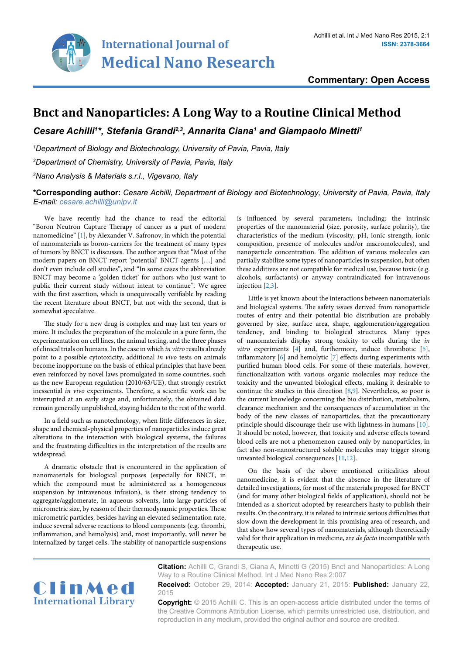

**Commentary: Open Access**

## **Bnct and Nanoparticles: A Long Way to a Routine Clinical Method**

Cesare Achilli<sup>1\*</sup>, Stefania Grandi<sup>2,3</sup>, Annarita Ciana<sup>1</sup> and Giampaolo Minetti<sup>1</sup>

*1 Department of Biology and Biotechnology, University of Pavia, Pavia, Italy*

*2 Department of Chemistry, University of Pavia, Pavia, Italy*

*3 Nano Analysis & Materials s.r.l., Vigevano, Italy*

**\*Corresponding author:** *Cesare Achilli, Department of Biology and Biotechnology, University of Pavia, Pavia, Italy E-mail: cesare.achilli@unipv.it*

We have recently had the chance to read the editorial "Boron Neutron Capture Therapy of cancer as a part of modern nanomedicine" [[1](#page-1-11)], by Alexander V. Safronov, in which the potential of nanomaterials as boron-carriers for the treatment of many types of tumors by BNCT is discusses. The author argues that "Most of the modern papers on BNCT report 'potential' BNCT agents […] and don't even include cell studies", and "In some cases the abbreviation BNCT may become a 'golden ticket' for authors who just want to public their current study without intent to continue". We agree with the first assertion, which is unequivocally verifiable by reading the recent literature about BNCT, but not with the second, that is somewhat speculative.

The study for a new drug is complex and may last ten years or more. It includes the preparation of the molecule in a pure form, the experimentation on cell lines, the animal testing, and the three phases of clinical trials on humans. In the case in which *in vitro* results already point to a possible cytotoxicity, additional *in vivo* tests on animals become inopportune on the basis of ethical principles that have been even reinforced by novel laws promulgated in some countries, such as the new European regulation (2010/63/UE), that strongly restrict inessential *in vivo* experiments. Therefore, a scientific work can be interrupted at an early stage and, unfortunately, the obtained data remain generally unpublished, staying hidden to the rest of the world.

In a field such as nanotechnology, when little differences in size, shape and chemical-physical properties of nanoparticles induce great alterations in the interaction with biological systems, the failures and the frustrating difficulties in the interpretation of the results are widespread.

A dramatic obstacle that is encountered in the application of nanomaterials for biological purposes (especially for BNCT, in which the compound must be administered as a homogeneous suspension by intravenous infusion), is their strong tendency to aggregate/agglomerate, in aqueous solvents, into large particles of micrometric size, by reason of their thermodynamic properties. These micrometric particles, besides having an elevated sedimentation rate, induce several adverse reactions to blood components (e.g. thrombi, inflammation, and hemolysis) and, most importantly, will never be internalized by target cells. The stability of nanoparticle suspensions

is influenced by several parameters, including: the intrinsic properties of the nanomaterial (size, porosity, surface polarity), the characteristics of the medium (viscosity, pH, ionic strength, ionic composition, presence of molecules and/or macromolecules), and nanoparticle concentration. The addition of various molecules can partially stabilize some types of nanoparticles in suspension, but often these additives are not compatible for medical use, because toxic (e.g. alcohols, surfactants) or anyway contraindicated for intravenous injection [[2](#page-1-0)[,3\]](#page-1-1).

Little is yet known about the interactions between nanomaterials and biological systems. The safety issues derived from nanoparticle routes of entry and their potential bio distribution are probably governed by size, surface area, shape, agglomeration/aggregation tendency, and binding to biological structures. Many types of nanomaterials display strong toxicity to cells during the *in vitro* experiments [\[4\]](#page-1-2) and, furthermore, induce thrombotic [\[5\]](#page-1-3), inflammatory [[6](#page-1-4)] and hemolytic [[7\]](#page-1-5) effects during experiments with purified human blood cells. For some of these materials, however, functionalization with various organic molecules may reduce the toxicity and the unwanted biological effects, making it desirable to continue the studies in this direction [[8](#page-1-6)[,9](#page-1-7)]. Nevertheless, so poor is the current knowledge concerning the bio distribution, metabolism, clearance mechanism and the consequences of accumulation in the body of the new classes of nanoparticles, that the precautionary principle should discourage their use with lightness in humans [\[10\]](#page-1-8). It should be noted, however, that toxicity and adverse effects toward blood cells are not a phenomenon caused only by nanoparticles, in fact also non-nanostructured soluble molecules may trigger strong unwanted biological consequences [[11](#page-1-9)[,12](#page-1-10)].

On the basis of the above mentioned criticalities about nanomedicine, it is evident that the absence in the literature of detailed investigations, for most of the materials proposed for BNCT (and for many other biological fields of application), should not be intended as a shortcut adopted by researchers hasty to publish their results. On the contrary, it is related to intrinsic serious difficulties that slow down the development in this promising area of research, and that show how several types of nanomaterials, although theoretically valid for their application in medicine, are *de facto* incompatible with therapeutic use.



**Citation:** Achilli C, Grandi S, Ciana A, Minetti G (2015) Bnct and Nanoparticles: A Long Way to a Routine Clinical Method. Int J Med Nano Res 2:007

**Received:** October 29, 2014: **Accepted:** January 21, 2015: **Published:** January 22, 2015

**Copyright:** © 2015 Achilli C. This is an open-access article distributed under the terms of the Creative Commons Attribution License, which permits unrestricted use, distribution, and reproduction in any medium, provided the original author and source are credited.